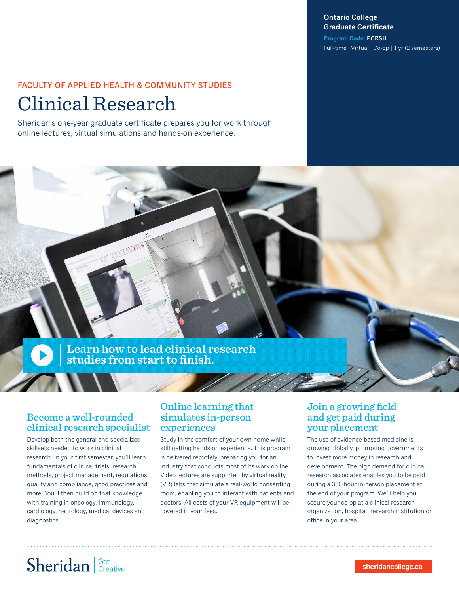### **Ontario College Graduate Certificate**

**Program Code: PCRSH** Full-time | Virtual | Co-op | 1 yr (2 semesters)

## FACULTY OF APPLIED HEALTH & COMMUNITY STUDIES Clinical Research

Sheridan's one-year graduate certificate prepares you for work through online lectures, virtual simulations and hands-on experience.



### Become a well-rounded clinical research specialist

Develop both the general and specialized skillsets needed to work in clinical research. In your first semester, you'll learn fundamentals of clinical trials, research methods, project management, regulations, quality and compliance, good practices and more. You'll then build on that knowledge with training in oncology, immunology, cardiology, neurology, medical devices and diagnostics.

### Online learning that simulates in-person experiences

Study in the comfort of your own home while still getting hands-on experience. This program is delivered remotely, preparing you for an industry that conducts most of its work online. Video lectures are supported by virtual reality (VR) labs that simulate a real-world consenting room, enabling you to interact with patients and doctors. All costs of your VR equipment will be covered in your fees.

### Join a growing field and get paid during your placement

The use of evidence-based medicine is growing globally, prompting governments to invest more money in research and development. The high demand for clinical research associates enables you to be paid during a 360-hour in-person placement at the end of your program. We'll help you secure your co-op at a clinical research organization, hospital, research institution or office in your area.

# Sheridan | Get Creative